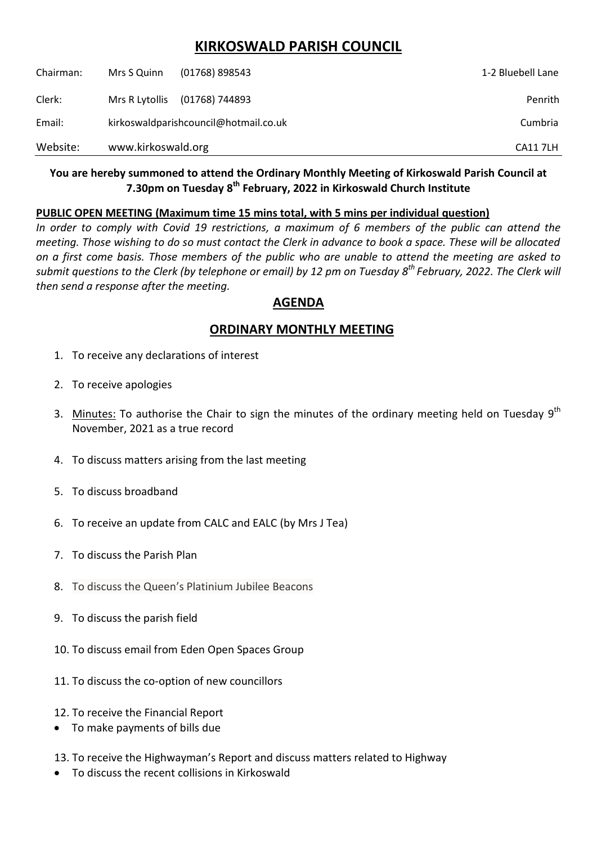# **KIRKOSWALD PARISH COUNCIL**

| Website:  | www.kirkoswald.org                    |                  | <b>CA117LH</b>    |
|-----------|---------------------------------------|------------------|-------------------|
| Email:    | kirkoswaldparishcouncil@hotmail.co.uk |                  | Cumbria           |
| Clerk:    | Mrs R Lytollis                        | (01768) 744893   | Penrith           |
| Chairman: | Mrs S Quinn                           | $(01768)$ 898543 | 1-2 Bluebell Lane |

### **You are hereby summoned to attend the Ordinary Monthly Meeting of Kirkoswald Parish Council at 7.30pm on Tuesday 8 th February, 2022 in Kirkoswald Church Institute**

#### **PUBLIC OPEN MEETING (Maximum time 15 mins total, with 5 mins per individual question)**

*In order to comply with Covid 19 restrictions, a maximum of 6 members of the public can attend the meeting. Those wishing to do so must contact the Clerk in advance to book a space. These will be allocated on a first come basis. Those members of the public who are unable to attend the meeting are asked to submit questions to the Clerk (by telephone or email) by 12 pm on Tuesday 8 th February, 2022. The Clerk will then send a response after the meeting.*

## **AGENDA**

## **ORDINARY MONTHLY MEETING**

- 1. To receive any declarations of interest
- 2. To receive apologies
- 3. Minutes: To authorise the Chair to sign the minutes of the ordinary meeting held on Tuesday  $9<sup>th</sup>$ November, 2021 as a true record
- 4. To discuss matters arising from the last meeting
- 5. To discuss broadband
- 6. To receive an update from CALC and EALC (by Mrs J Tea)
- 7. To discuss the Parish Plan
- 8. To discuss the Queen's Platinium Jubilee Beacons
- 9. To discuss the parish field
- 10. To discuss email from Eden Open Spaces Group
- 11. To discuss the co-option of new councillors
- 12. To receive the Financial Report
- To make payments of bills due
- 13. To receive the Highwayman's Report and discuss matters related to Highway
- To discuss the recent collisions in Kirkoswald